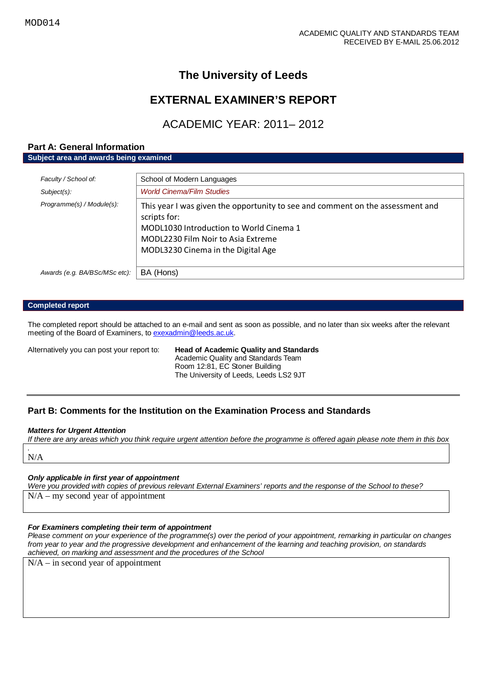# **The University of Leeds**

# **EXTERNAL EXAMINER'S REPORT**

# ACADEMIC YEAR: 2011– 2012

#### **Part A: General Information Subject area and awards being examined**

| Faculty / School of:          | School of Modern Languages                                                                                                                                                                                            |
|-------------------------------|-----------------------------------------------------------------------------------------------------------------------------------------------------------------------------------------------------------------------|
| $Subject(s)$ :                | <b>World Cinema/Film Studies</b>                                                                                                                                                                                      |
| Programme(s) / Module(s):     | This year I was given the opportunity to see and comment on the assessment and<br>scripts for:<br>MODL1030 Introduction to World Cinema 1<br>MODL2230 Film Noir to Asia Extreme<br>MODL3230 Cinema in the Digital Age |
| Awards (e.g. BA/BSc/MSc etc): | BA (Hons)                                                                                                                                                                                                             |

#### **Completed report**

The completed report should be attached to an e-mail and sent as soon as possible, and no later than six weeks after the relevant meeting of the Board of Examiners, t[o exexadmin@leeds.ac.uk.](mailto:exexadmin@leeds.ac.uk)

## Alternatively you can post your report to: **Head of Academic Quality and Standards**

Academic Quality and Standards Team Room 12:81, EC Stoner Building The University of Leeds, Leeds LS2 9JT

## **Part B: Comments for the Institution on the Examination Process and Standards**

#### *Matters for Urgent Attention*

*If there are any areas which you think require urgent attention before the programme is offered again please note them in this box .* N/A

#### *Only applicable in first year of appointment*

*Were you provided with copies of previous relevant External Examiners' reports and the response of the School to these?*  N/A – my second year of appointment

#### *For Examiners completing their term of appointment*

*Please comment on your experience of the programme(s) over the period of your appointment, remarking in particular on changes from year to year and the progressive development and enhancement of the learning and teaching provision, on standards achieved, on marking and assessment and the procedures of the School*

N/A – in second year of appointment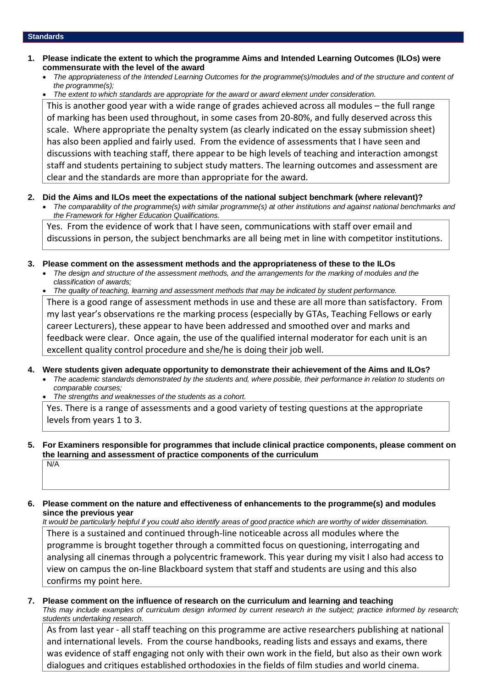#### **Standards**

- **1. Please indicate the extent to which the programme Aims and Intended Learning Outcomes (ILOs) were commensurate with the level of the award**
	- *The appropriateness of the Intended Learning Outcomes for the programme(s)/modules and of the structure and content of the programme(s);*
	- *The extent to which standards are appropriate for the award or award element under consideration.*

This is another good year with a wide range of grades achieved across all modules – the full range of marking has been used throughout, in some cases from 20-80%, and fully deserved across this scale. Where appropriate the penalty system (as clearly indicated on the essay submission sheet) has also been applied and fairly used. From the evidence of assessments that I have seen and discussions with teaching staff, there appear to be high levels of teaching and interaction amongst staff and students pertaining to subject study matters. The learning outcomes and assessment are clear and the standards are more than appropriate for the award.

- **2. Did the Aims and ILOs meet the expectations of the national subject benchmark (where relevant)?**
	- *The comparability of the programme(s) with similar programme(s) at other institutions and against national benchmarks and the Framework for Higher Education Qualifications.*

Yes. From the evidence of work that I have seen, communications with staff over email and discussions in person, the subject benchmarks are all being met in line with competitor institutions.

- **3. Please comment on the assessment methods and the appropriateness of these to the ILOs**
	- *The design and structure of the assessment methods, and the arrangements for the marking of modules and the classification of awards;*

• *The quality of teaching, learning and assessment methods that may be indicated by student performance.* There is a good range of assessment methods in use and these are all more than satisfactory. From my last year's observations re the marking process (especially by GTAs, Teaching Fellows or early career Lecturers), these appear to have been addressed and smoothed over and marks and feedback were clear. Once again, the use of the qualified internal moderator for each unit is an excellent quality control procedure and she/he is doing their job well.

- **4. Were students given adequate opportunity to demonstrate their achievement of the Aims and ILOs?**
	- *The academic standards demonstrated by the students and, where possible, their performance in relation to students on comparable courses;*
	- *The strengths and weaknesses of the students as a cohort.*

Yes. There is a range of assessments and a good variety of testing questions at the appropriate levels from years 1 to 3.

#### **5. For Examiners responsible for programmes that include clinical practice components, please comment on the learning and assessment of practice components of the curriculum**  $N/A$

## **6. Please comment on the nature and effectiveness of enhancements to the programme(s) and modules since the previous year**

*It would be particularly helpful if you could also identify areas of good practice which are worthy of wider dissemination.*  There is a sustained and continued through-line noticeable across all modules where the programme is brought together through a committed focus on questioning, interrogating and analysing all cinemas through a polycentric framework. This year during my visit I also had access to view on campus the on-line Blackboard system that staff and students are using and this also confirms my point here.

#### **7. Please comment on the influence of research on the curriculum and learning and teaching** *This may include examples of curriculum design informed by current research in the subject; practice informed by research;*

*students undertaking research.*  As from last year - all staff teaching on this programme are active researchers publishing at national and international levels. From the course handbooks, reading lists and essays and exams, there

was evidence of staff engaging not only with their own work in the field, but also as their own work dialogues and critiques established orthodoxies in the fields of film studies and world cinema.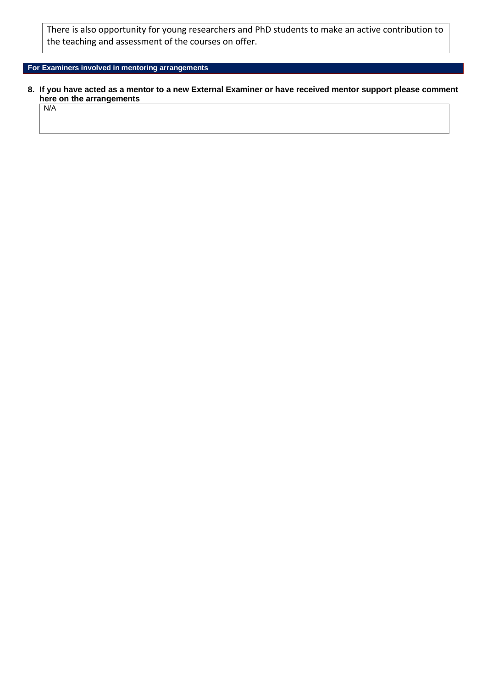There is also opportunity for young researchers and PhD students to make an active contribution to the teaching and assessment of the courses on offer.

## **For Examiners involved in mentoring arrangements**

**8. If you have acted as a mentor to a new External Examiner or have received mentor support please comment here on the arrangements**

N/A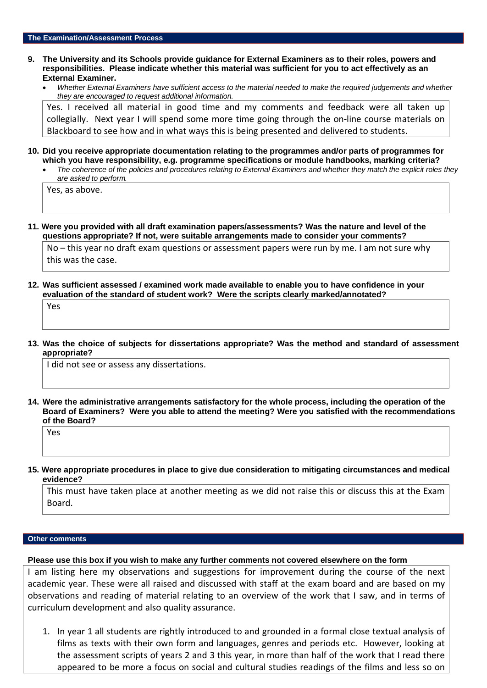- **9. The University and its Schools provide guidance for External Examiners as to their roles, powers and responsibilities. Please indicate whether this material was sufficient for you to act effectively as an External Examiner.**
	- *Whether External Examiners have sufficient access to the material needed to make the required judgements and whether they are encouraged to request additional information.*

Yes. I received all material in good time and my comments and feedback were all taken up collegially. Next year I will spend some more time going through the on-line course materials on Blackboard to see how and in what ways this is being presented and delivered to students.

- **10. Did you receive appropriate documentation relating to the programmes and/or parts of programmes for which you have responsibility, e.g. programme specifications or module handbooks, marking criteria?**
	- *The coherence of the policies and procedures relating to External Examiners and whether they match the explicit roles they are asked to perform.*

Yes, as above.

**11. Were you provided with all draft examination papers/assessments? Was the nature and level of the questions appropriate? If not, were suitable arrangements made to consider your comments?**

No – this year no draft exam questions or assessment papers were run by me. I am not sure why this was the case.

**12. Was sufficient assessed / examined work made available to enable you to have confidence in your evaluation of the standard of student work? Were the scripts clearly marked/annotated?** 

Yes

**13. Was the choice of subjects for dissertations appropriate? Was the method and standard of assessment appropriate?**

I did not see or assess any dissertations.

**14. Were the administrative arrangements satisfactory for the whole process, including the operation of the Board of Examiners? Were you able to attend the meeting? Were you satisfied with the recommendations of the Board?**

Yes

**15. Were appropriate procedures in place to give due consideration to mitigating circumstances and medical evidence?**

This must have taken place at another meeting as we did not raise this or discuss this at the Exam Board.

#### **Other comments**

**Please use this box if you wish to make any further comments not covered elsewhere on the form**

I am listing here my observations and suggestions for improvement during the course of the next academic year. These were all raised and discussed with staff at the exam board and are based on my observations and reading of material relating to an overview of the work that I saw, and in terms of curriculum development and also quality assurance.

1. In year 1 all students are rightly introduced to and grounded in a formal close textual analysis of films as texts with their own form and languages, genres and periods etc. However, looking at the assessment scripts of years 2 and 3 this year, in more than half of the work that I read there appeared to be more a focus on social and cultural studies readings of the films and less so on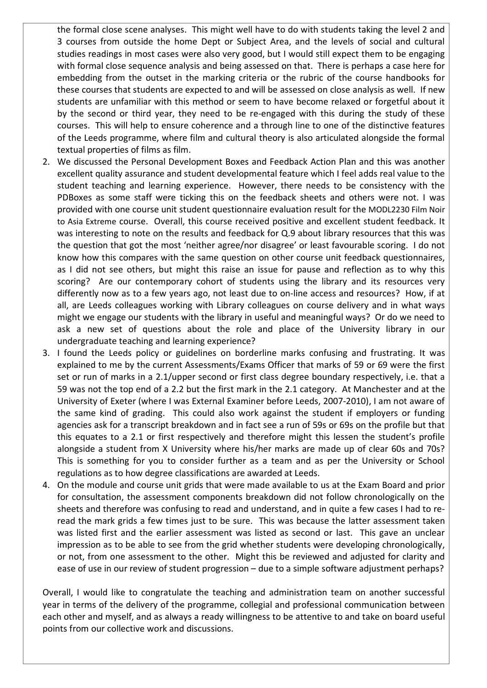the formal close scene analyses. This might well have to do with students taking the level 2 and 3 courses from outside the home Dept or Subject Area, and the levels of social and cultural studies readings in most cases were also very good, but I would still expect them to be engaging with formal close sequence analysis and being assessed on that. There is perhaps a case here for embedding from the outset in the marking criteria or the rubric of the course handbooks for these courses that students are expected to and will be assessed on close analysis as well. If new students are unfamiliar with this method or seem to have become relaxed or forgetful about it by the second or third year, they need to be re-engaged with this during the study of these courses. This will help to ensure coherence and a through line to one of the distinctive features of the Leeds programme, where film and cultural theory is also articulated alongside the formal textual properties of films as film.

- 2. We discussed the Personal Development Boxes and Feedback Action Plan and this was another excellent quality assurance and student developmental feature which I feel adds real value to the student teaching and learning experience. However, there needs to be consistency with the PDBoxes as some staff were ticking this on the feedback sheets and others were not. I was provided with one course unit student questionnaire evaluation result for the MODL2230 Film Noir to Asia Extreme course. Overall, this course received positive and excellent student feedback. It was interesting to note on the results and feedback for Q.9 about library resources that this was the question that got the most 'neither agree/nor disagree' or least favourable scoring. I do not know how this compares with the same question on other course unit feedback questionnaires, as I did not see others, but might this raise an issue for pause and reflection as to why this scoring? Are our contemporary cohort of students using the library and its resources very differently now as to a few years ago, not least due to on-line access and resources? How, if at all, are Leeds colleagues working with Library colleagues on course delivery and in what ways might we engage our students with the library in useful and meaningful ways? Or do we need to ask a new set of questions about the role and place of the University library in our undergraduate teaching and learning experience?
- 3. I found the Leeds policy or guidelines on borderline marks confusing and frustrating. It was explained to me by the current Assessments/Exams Officer that marks of 59 or 69 were the first set or run of marks in a 2.1/upper second or first class degree boundary respectively, i.e. that a 59 was not the top end of a 2.2 but the first mark in the 2.1 category. At Manchester and at the University of Exeter (where I was External Examiner before Leeds, 2007-2010), I am not aware of the same kind of grading. This could also work against the student if employers or funding agencies ask for a transcript breakdown and in fact see a run of 59s or 69s on the profile but that this equates to a 2.1 or first respectively and therefore might this lessen the student's profile alongside a student from X University where his/her marks are made up of clear 60s and 70s? This is something for you to consider further as a team and as per the University or School regulations as to how degree classifications are awarded at Leeds.
- 4. On the module and course unit grids that were made available to us at the Exam Board and prior for consultation, the assessment components breakdown did not follow chronologically on the sheets and therefore was confusing to read and understand, and in quite a few cases I had to reread the mark grids a few times just to be sure. This was because the latter assessment taken was listed first and the earlier assessment was listed as second or last. This gave an unclear impression as to be able to see from the grid whether students were developing chronologically, or not, from one assessment to the other. Might this be reviewed and adjusted for clarity and ease of use in our review of student progression – due to a simple software adjustment perhaps?

Overall, I would like to congratulate the teaching and administration team on another successful year in terms of the delivery of the programme, collegial and professional communication between each other and myself, and as always a ready willingness to be attentive to and take on board useful points from our collective work and discussions.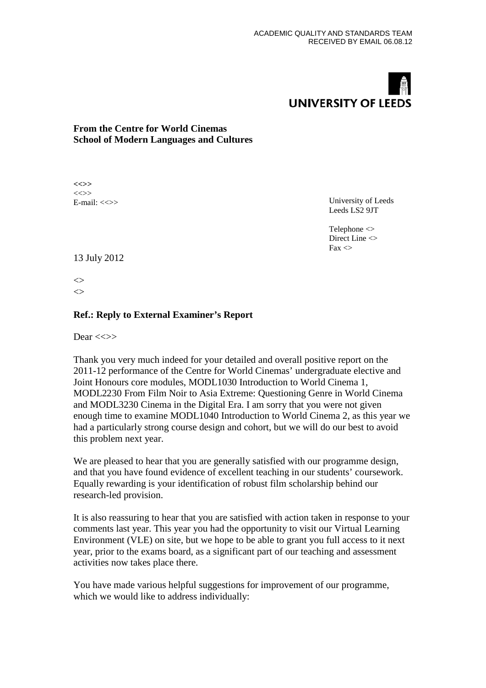# **UNIVERSITY OF LEEDS**

# **From the Centre for World Cinemas School of Modern Languages and Cultures**

**<<>>**  $\left\langle \left\langle \right\rangle \right\rangle$ E-mail:  $\langle \langle \rangle \rangle$ 

University of Leeds Leeds LS2 9JT

Telephone <> Direct Line  $\leq$  $Fax \leq$ 

13 July 2012

 $\leftrightarrow$  $\leftrightarrow$ 

# **Ref.: Reply to External Examiner's Report**

Dear  $<<$ >>

Thank you very much indeed for your detailed and overall positive report on the 2011-12 performance of the Centre for World Cinemas' undergraduate elective and Joint Honours core modules, MODL1030 Introduction to World Cinema 1, MODL2230 From Film Noir to Asia Extreme: Questioning Genre in World Cinema and MODL3230 Cinema in the Digital Era. I am sorry that you were not given enough time to examine MODL1040 Introduction to World Cinema 2, as this year we had a particularly strong course design and cohort, but we will do our best to avoid this problem next year.

We are pleased to hear that you are generally satisfied with our programme design, and that you have found evidence of excellent teaching in our students' coursework. Equally rewarding is your identification of robust film scholarship behind our research-led provision.

It is also reassuring to hear that you are satisfied with action taken in response to your comments last year. This year you had the opportunity to visit our Virtual Learning Environment (VLE) on site, but we hope to be able to grant you full access to it next year, prior to the exams board, as a significant part of our teaching and assessment activities now takes place there.

You have made various helpful suggestions for improvement of our programme, which we would like to address individually: